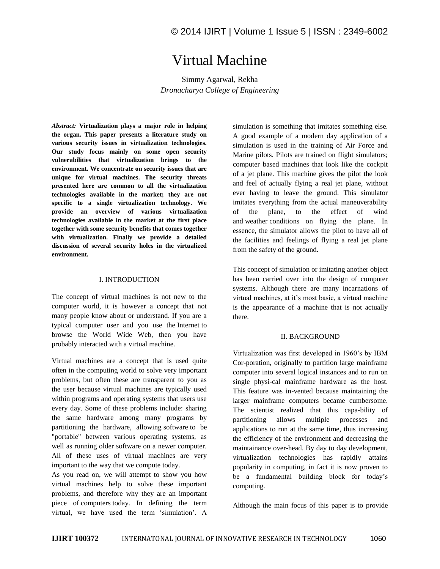# Virtual Machine

Simmy Agarwal, Rekha *Dronacharya College of Engineering* 

*Abstract:* **Virtualization plays a major role in helping the organ. This paper presents a literature study on various security issues in virtualization technologies. Our study focus mainly on some open security vulnerabilities that virtualization brings to the environment. We concentrate on security issues that are unique for virtual machines. The security threats presented here are common to all the virtualization technologies available in the market; they are not specific to a single virtualization technology. We provide an overview of various virtualization technologies available in the market at the first place together with some security benefits that comes together with virtualization. Finally we provide a detailed discussion of several security holes in the virtualized environment.**

#### I. INTRODUCTION

The concept of virtual machines is not new to the computer world, it is however a concept that not many people know about or understand. If you are a typical computer user and you use the Internet to browse the World Wide Web, then you have probably interacted with a virtual machine.

Virtual machines are a concept that is used quite often in the computing world to solve very important problems, but often these are transparent to you as the user because virtual machines are typically used within programs and operating systems that users use every day. Some of these problems include: sharing the same hardware among many programs by partitioning the hardware, allowing software to be "portable" between various operating systems, as well as running older software on a newer computer. All of these uses of virtual machines are very important to the way that we compute today.

As you read on, we will attempt to show you how virtual machines help to solve these important problems, and therefore why they are an important piece of computers today. In defining the term virtual, we have used the term 'simulation'. A simulation is something that imitates something else. A good example of a modern day application of a simulation is used in the training of Air Force and Marine pilots. Pilots are trained on flight simulators; computer based machines that look like the cockpit of a jet plane. This machine gives the pilot the look and feel of actually flying a real jet plane, without ever having to leave the ground. This simulator imitates everything from the actual maneuverability of the plane, to the effect of wind and weather conditions on flying the plane. In essence, the simulator allows the pilot to have all of the facilities and feelings of flying a real jet plane from the safety of the ground.

This concept of simulation or imitating another object has been carried over into the design of computer systems. Although there are many incarnations of virtual machines, at it's most basic, a virtual machine is the appearance of a machine that is not actually there.

#### II. BACKGROUND

Virtualization was first developed in 1960's by IBM Cor-poration, originally to partition large mainframe computer into several logical instances and to run on single physi-cal mainframe hardware as the host. This feature was in-vented because maintaining the larger mainframe computers became cumbersome. The scientist realized that this capa-bility of partitioning allows multiple processes and applications to run at the same time, thus increasing the efficiency of the environment and decreasing the maintainance over-head. By day to day development, virtualization technologies has rapidly attains popularity in computing, in fact it is now proven to be a fundamental building block for today's computing.

Although the main focus of this paper is to provide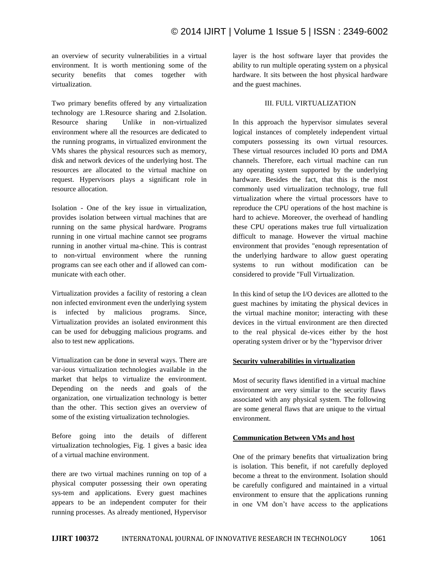an overview of security vulnerabilities in a virtual environment. It is worth mentioning some of the security benefits that comes together with virtualization.

Two primary benefits offered by any virtualization technology are 1.Resource sharing and 2.Isolation. Resource sharing Unlike in non-virtualized environment where all the resources are dedicated to the running programs, in virtualized environment the VMs shares the physical resources such as memory, disk and network devices of the underlying host. The resources are allocated to the virtual machine on request. Hypervisors plays a significant role in resource allocation.

Isolation - One of the key issue in virtualization, provides isolation between virtual machines that are running on the same physical hardware. Programs running in one virtual machine cannot see programs running in another virtual ma-chine. This is contrast to non-virtual environment where the running programs can see each other and if allowed can communicate with each other.

Virtualization provides a facility of restoring a clean non infected environment even the underlying system is infected by malicious programs. Since, Virtualization provides an isolated environment this can be used for debugging malicious programs. and also to test new applications.

Virtualization can be done in several ways. There are var-ious virtualization technologies available in the market that helps to virtualize the environment. Depending on the needs and goals of the organization, one virtualization technology is better than the other. This section gives an overview of some of the existing virtualization technologies.

Before going into the details of different virtualization technologies, Fig. 1 gives a basic idea of a virtual machine environment.

there are two virtual machines running on top of a physical computer possessing their own operating sys-tem and applications. Every guest machines appears to be an independent computer for their running processes. As already mentioned, Hypervisor layer is the host software layer that provides the ability to run multiple operating system on a physical hardware. It sits between the host physical hardware and the guest machines.

## III. FULL VIRTUALIZATION

In this approach the hypervisor simulates several logical instances of completely independent virtual computers possessing its own virtual resources. These virtual resources included IO ports and DMA channels. Therefore, each virtual machine can run any operating system supported by the underlying hardware. Besides the fact, that this is the most commonly used virtualization technology, true full virtualization where the virtual processors have to reproduce the CPU operations of the host machine is hard to achieve. Moreover, the overhead of handling these CPU operations makes true full virtualization difficult to manage. However the virtual machine environment that provides "enough representation of the underlying hardware to allow guest operating systems to run without modification can be considered to provide "Full Virtualization.

In this kind of setup the I/O devices are allotted to the guest machines by imitating the physical devices in the virtual machine monitor; interacting with these devices in the virtual environment are then directed to the real physical de-vices either by the host operating system driver or by the "hypervisor driver

## **Security vulnerabilities in virtualization**

Most of security flaws identified in a virtual machine environment are very similar to the security flaws associated with any physical system. The following are some general flaws that are unique to the virtual environment.

## **Communication Between VMs and host**

One of the primary benefits that virtualization bring is isolation. This benefit, if not carefully deployed become a threat to the environment. Isolation should be carefully configured and maintained in a virtual environment to ensure that the applications running in one VM don't have access to the applications